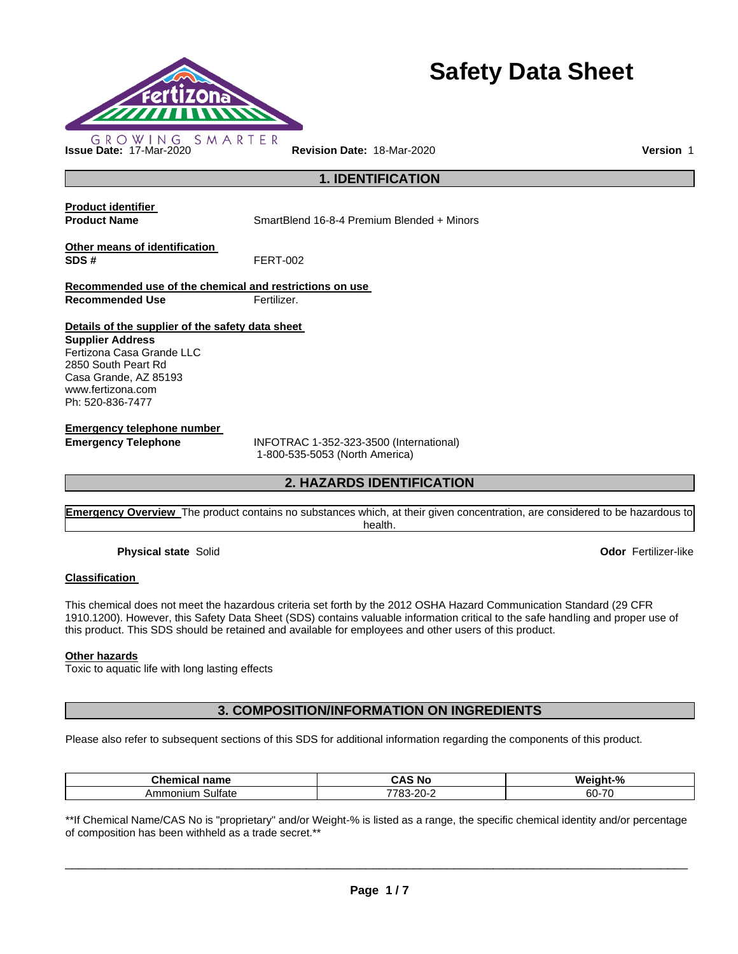

# **Safety Data Sheet**

**1. IDENTIFICATION** 

**Product identifier** 

**Product Name** SmartBlend 16-8-4 Premium Blended + Minors

**Other means of identification SDS #** FERT-002

**Recommended use of the chemical and restrictions on use Recommended Use Fertilizer.** 

**Details of the supplier of the safety data sheet** 

**Supplier Address** Fertizona Casa Grande LLC 2850 South Peart Rd Casa Grande, AZ 85193 www.fertizona.com Ph: 520-836-7477

**Emergency telephone number** 

**Emergency Telephone** INFOTRAC 1-352-323-3500 (International) 1-800-535-5053 (North America)

## **2. HAZARDS IDENTIFICATION**

**Emergency Overview** The product contains no substances which, at their given concentration, are considered to be hazardous to health.

**Physical state** Solid **Odor** Fertilizer-like

#### **Classification**

This chemical does not meet the hazardous criteria set forth by the 2012 OSHA Hazard Communication Standard (29 CFR 1910.1200). However, this Safety Data Sheet (SDS) contains valuable information critical to the safe handling and proper use of this product. This SDS should be retained and available for employees and other users of this product.

#### **Other hazards**

Toxic to aquatic life with long lasting effects

**3. COMPOSITION/INFORMATION ON INGREDIENTS** 

Please also refer to subsequent sections of this SDS for additional information regarding the components of this product.

| <b></b><br><b>∴hemic</b><br>name<br>emical | i No<br>-<br>-л.<br><b>JAC</b>      | $-9o$<br>Wе<br>iaht       |
|--------------------------------------------|-------------------------------------|---------------------------|
| Sulfate<br>Ammonium                        | co.<br>-<br>---<br>∼-<br>uu<br>20 Z | 7 <sup>c</sup><br>60<br>. |

\*\*If Chemical Name/CAS No is "proprietary" and/or Weight-% is listed as a range, the specific chemical identity and/or percentage of composition has been withheld as a trade secret.\*\*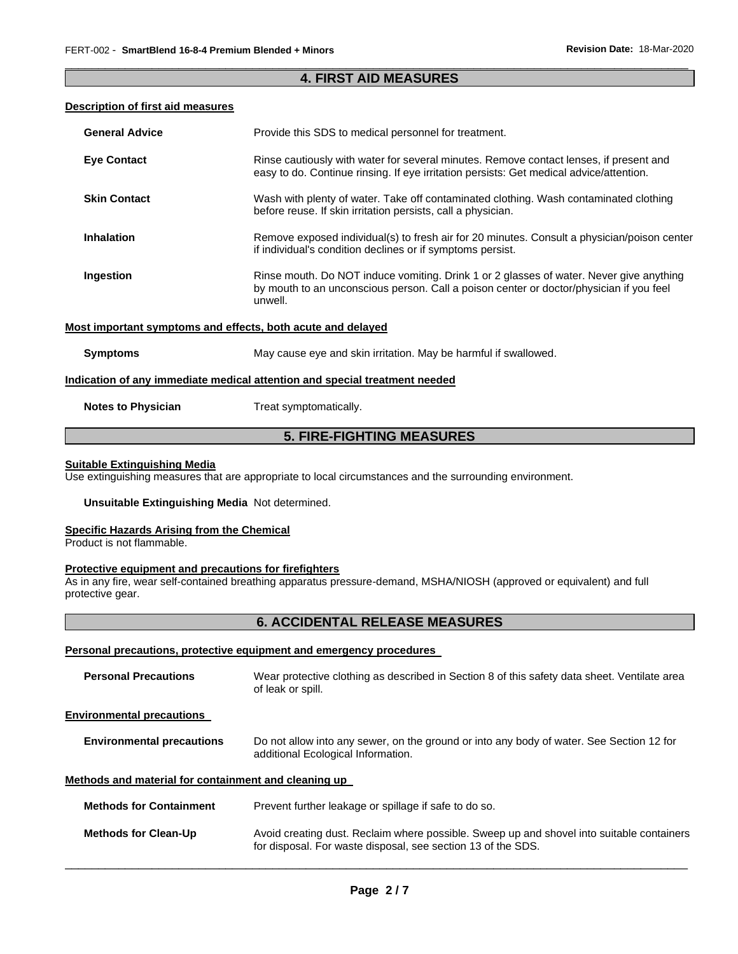#### \_\_\_\_\_\_\_\_\_\_\_\_\_\_\_\_\_\_\_\_\_\_\_\_\_\_\_\_\_\_\_\_\_\_\_\_\_\_\_\_\_\_\_\_\_\_\_\_\_\_\_\_\_\_\_\_\_\_\_\_\_\_\_\_\_\_\_\_\_\_\_\_\_\_\_\_\_\_\_\_\_\_\_\_\_\_\_\_\_\_\_\_\_ **4. FIRST AID MEASURES**

#### **Description of first aid measures**

| <b>General Advice</b>                                       | Provide this SDS to medical personnel for treatment.                                                                                                                                          |
|-------------------------------------------------------------|-----------------------------------------------------------------------------------------------------------------------------------------------------------------------------------------------|
| <b>Eye Contact</b>                                          | Rinse cautiously with water for several minutes. Remove contact lenses, if present and<br>easy to do. Continue rinsing. If eye irritation persists: Get medical advice/attention.             |
| <b>Skin Contact</b>                                         | Wash with plenty of water. Take off contaminated clothing. Wash contaminated clothing<br>before reuse. If skin irritation persists, call a physician.                                         |
| <b>Inhalation</b>                                           | Remove exposed individual(s) to fresh air for 20 minutes. Consult a physician/poison center<br>if individual's condition declines or if symptoms persist.                                     |
| Ingestion                                                   | Rinse mouth. Do NOT induce vomiting. Drink 1 or 2 glasses of water. Never give anything<br>by mouth to an unconscious person. Call a poison center or doctor/physician if you feel<br>unwell. |
| Most important symptoms and effects, both acute and delayed |                                                                                                                                                                                               |
| <b>Symptoms</b>                                             | May cause eye and skin irritation. May be harmful if swallowed.                                                                                                                               |
|                                                             | Indication of any immediate medical attention and special treatment needed                                                                                                                    |
| <b>Notes to Physician</b>                                   | Treat symptomatically.                                                                                                                                                                        |

## **5. FIRE-FIGHTING MEASURES**

#### **Suitable Extinguishing Media**

Use extinguishing measures that are appropriate to local circumstances and the surrounding environment.

#### **Unsuitable Extinguishing Media** Not determined.

#### **Specific Hazards Arising from the Chemical**

Product is not flammable.

#### **Protective equipment and precautions for firefighters**

As in any fire, wear self-contained breathing apparatus pressure-demand, MSHA/NIOSH (approved or equivalent) and full protective gear.

## **6. ACCIDENTAL RELEASE MEASURES**

#### **Personal precautions, protective equipment and emergency procedures**

| <b>Personal Precautions</b>                          | Wear protective clothing as described in Section 8 of this safety data sheet. Ventilate area<br>of leak or spill.                                         |
|------------------------------------------------------|-----------------------------------------------------------------------------------------------------------------------------------------------------------|
| <b>Environmental precautions</b>                     |                                                                                                                                                           |
| <b>Environmental precautions</b>                     | Do not allow into any sewer, on the ground or into any body of water. See Section 12 for<br>additional Ecological Information.                            |
| Methods and material for containment and cleaning up |                                                                                                                                                           |
| <b>Methods for Containment</b>                       | Prevent further leakage or spillage if safe to do so.                                                                                                     |
| <b>Methods for Clean-Up</b>                          | Avoid creating dust. Reclaim where possible. Sweep up and shovel into suitable containers<br>for disposal. For waste disposal, see section 13 of the SDS. |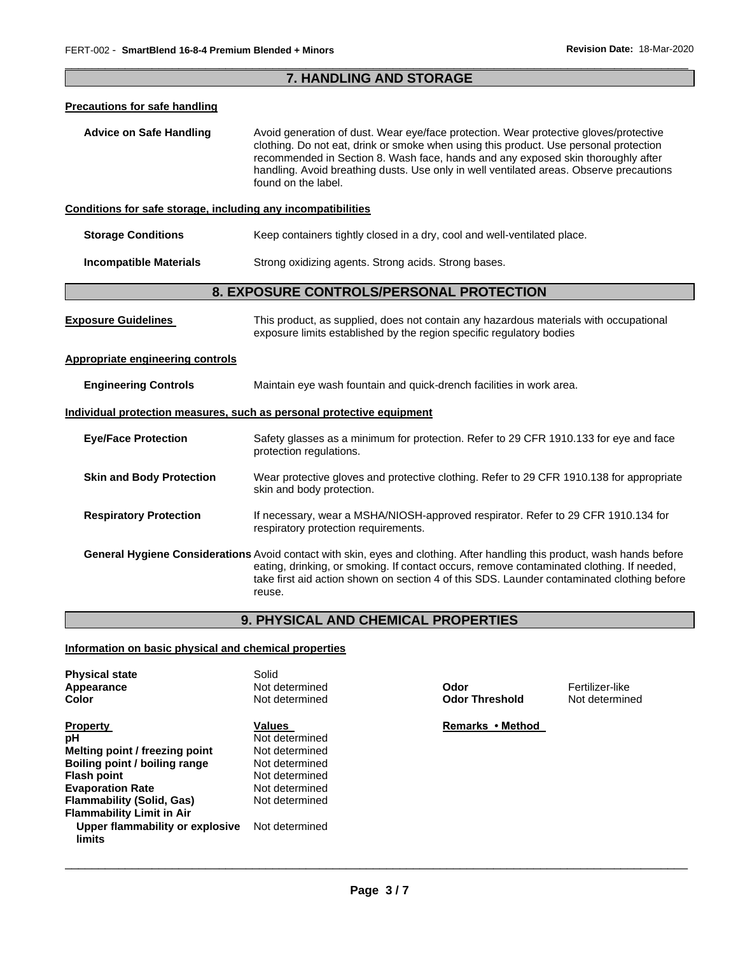#### \_\_\_\_\_\_\_\_\_\_\_\_\_\_\_\_\_\_\_\_\_\_\_\_\_\_\_\_\_\_\_\_\_\_\_\_\_\_\_\_\_\_\_\_\_\_\_\_\_\_\_\_\_\_\_\_\_\_\_\_\_\_\_\_\_\_\_\_\_\_\_\_\_\_\_\_\_\_\_\_\_\_\_\_\_\_\_\_\_\_\_\_\_ **7. HANDLING AND STORAGE**

#### **Precautions for safe handling**

**Advice on Safe Handling** Avoid generation of dust. Wear eye/face protection. Wear protective gloves/protective clothing. Do not eat, drink or smoke when using this product. Use personal protection recommended in Section 8. Wash face, hands and any exposed skin thoroughly after handling. Avoid breathing dusts. Use only in well ventilated areas. Observe precautions found on the label.

#### **Conditions for safe storage, including any incompatibilities**

| Keep containers tightly closed in a dry, cool and well-ventilated place. |
|--------------------------------------------------------------------------|
|                                                                          |

**Incompatible Materials Strong oxidizing agents. Strong acids. Strong bases.** 

#### **8. EXPOSURE CONTROLS/PERSONAL PROTECTION**

| <b>Exposure Guidelines</b>       | This product, as supplied, does not contain any hazardous materials with occupational<br>exposure limits established by the region specific regulatory bodies                                                                                                                                                                  |
|----------------------------------|--------------------------------------------------------------------------------------------------------------------------------------------------------------------------------------------------------------------------------------------------------------------------------------------------------------------------------|
| Appropriate engineering controls |                                                                                                                                                                                                                                                                                                                                |
| <b>Engineering Controls</b>      | Maintain eye wash fountain and quick-drench facilities in work area.                                                                                                                                                                                                                                                           |
|                                  | Individual protection measures, such as personal protective equipment                                                                                                                                                                                                                                                          |
| <b>Eye/Face Protection</b>       | Safety glasses as a minimum for protection. Refer to 29 CFR 1910.133 for eye and face<br>protection regulations.                                                                                                                                                                                                               |
| <b>Skin and Body Protection</b>  | Wear protective gloves and protective clothing. Refer to 29 CFR 1910.138 for appropriate<br>skin and body protection.                                                                                                                                                                                                          |
| <b>Respiratory Protection</b>    | If necessary, wear a MSHA/NIOSH-approved respirator. Refer to 29 CFR 1910.134 for<br>respiratory protection requirements.                                                                                                                                                                                                      |
|                                  | General Hygiene Considerations Avoid contact with skin, eyes and clothing. After handling this product, wash hands before<br>eating, drinking, or smoking. If contact occurs, remove contaminated clothing. If needed,<br>take first aid action shown on section 4 of this SDS. Launder contaminated clothing before<br>reuse. |

## **9. PHYSICAL AND CHEMICAL PROPERTIES**

#### **Information on basic physical and chemical properties**

| <b>Physical state</b>                     | Solid          |                       |                 |
|-------------------------------------------|----------------|-----------------------|-----------------|
| Appearance                                | Not determined | Odor                  | Fertilizer-like |
| Color                                     | Not determined | <b>Odor Threshold</b> | Not determine   |
| <b>Property</b>                           | <b>Values</b>  | Remarks • Method      |                 |
| рH                                        | Not determined |                       |                 |
| Melting point / freezing point            | Not determined |                       |                 |
| Boiling point / boiling range             | Not determined |                       |                 |
| <b>Flash point</b>                        | Not determined |                       |                 |
| <b>Evaporation Rate</b>                   | Not determined |                       |                 |
| <b>Flammability (Solid, Gas)</b>          | Not determined |                       |                 |
| <b>Flammability Limit in Air</b>          |                |                       |                 |
| Upper flammability or explosive<br>limits | Not determined |                       |                 |
|                                           |                |                       |                 |

**Odor Threshold Not determined**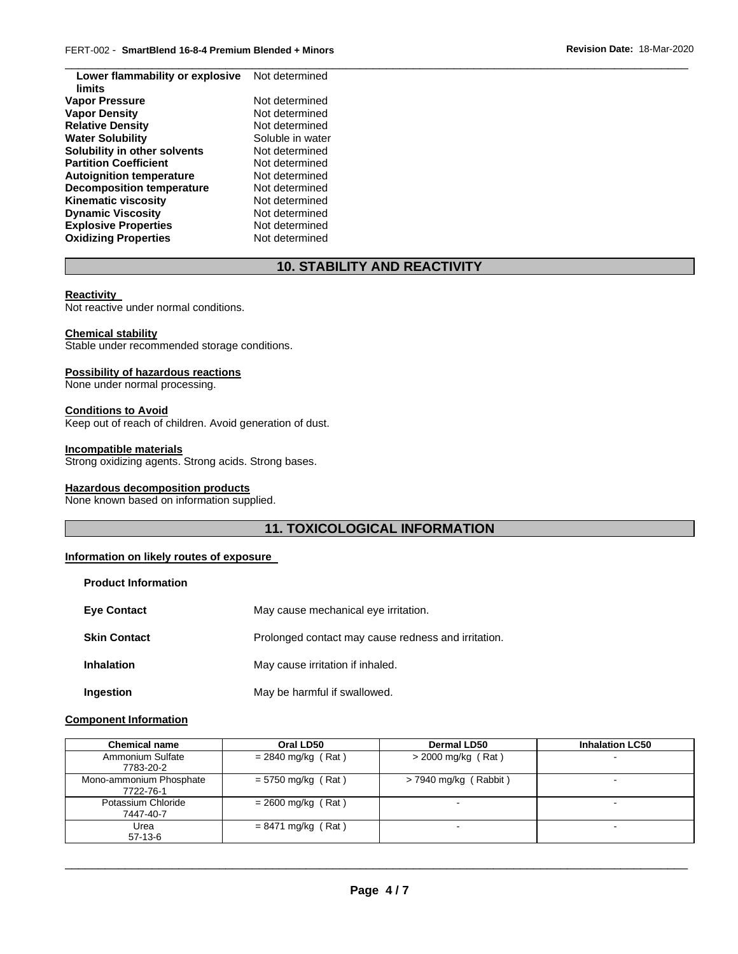| Lower flammability or explosive  | Not determined   |
|----------------------------------|------------------|
| limits                           |                  |
| <b>Vapor Pressure</b>            | Not determined   |
| <b>Vapor Density</b>             | Not determined   |
| <b>Relative Density</b>          | Not determined   |
| <b>Water Solubility</b>          | Soluble in water |
| Solubility in other solvents     | Not determined   |
| <b>Partition Coefficient</b>     | Not determined   |
| <b>Autoignition temperature</b>  | Not determined   |
| <b>Decomposition temperature</b> | Not determined   |
| <b>Kinematic viscosity</b>       | Not determined   |
| <b>Dynamic Viscosity</b>         | Not determined   |
| <b>Explosive Properties</b>      | Not determined   |
| <b>Oxidizing Properties</b>      | Not determined   |
|                                  |                  |

## **10. STABILITY AND REACTIVITY**

\_\_\_\_\_\_\_\_\_\_\_\_\_\_\_\_\_\_\_\_\_\_\_\_\_\_\_\_\_\_\_\_\_\_\_\_\_\_\_\_\_\_\_\_\_\_\_\_\_\_\_\_\_\_\_\_\_\_\_\_\_\_\_\_\_\_\_\_\_\_\_\_\_\_\_\_\_\_\_\_\_\_\_\_\_\_\_\_\_\_\_\_\_

#### **Reactivity**

Not reactive under normal conditions.

#### **Chemical stability**

Stable under recommended storage conditions.

#### **Possibility of hazardous reactions**

None under normal processing.

#### **Conditions to Avoid**

Keep out of reach of children. Avoid generation of dust.

#### **Incompatible materials**

Strong oxidizing agents. Strong acids. Strong bases.

#### **Hazardous decomposition products**

None known based on information supplied.

## **11. TOXICOLOGICAL INFORMATION**

#### **Information on likely routes of exposure**

| <b>Product Information</b> |                                                     |  |
|----------------------------|-----------------------------------------------------|--|
| <b>Eve Contact</b>         | May cause mechanical eye irritation.                |  |
| <b>Skin Contact</b>        | Prolonged contact may cause redness and irritation. |  |
| <b>Inhalation</b>          | May cause irritation if inhaled.                    |  |
| Ingestion                  | May be harmful if swallowed.                        |  |

#### **Component Information**

| <b>Chemical name</b>                 | Oral LD50            | <b>Dermal LD50</b>      | <b>Inhalation LC50</b> |
|--------------------------------------|----------------------|-------------------------|------------------------|
| Ammonium Sulfate<br>7783-20-2        | $= 2840$ mg/kg (Rat) | $>$ 2000 mg/kg (Rat)    | $\blacksquare$         |
| Mono-ammonium Phosphate<br>7722-76-1 | $= 5750$ mg/kg (Rat) | $>$ 7940 mg/kg (Rabbit) | -                      |
| Potassium Chloride<br>7447-40-7      | $= 2600$ mg/kg (Rat) |                         | $\sim$                 |
| Urea<br>$57-13-6$                    | $= 8471$ mg/kg (Rat) |                         |                        |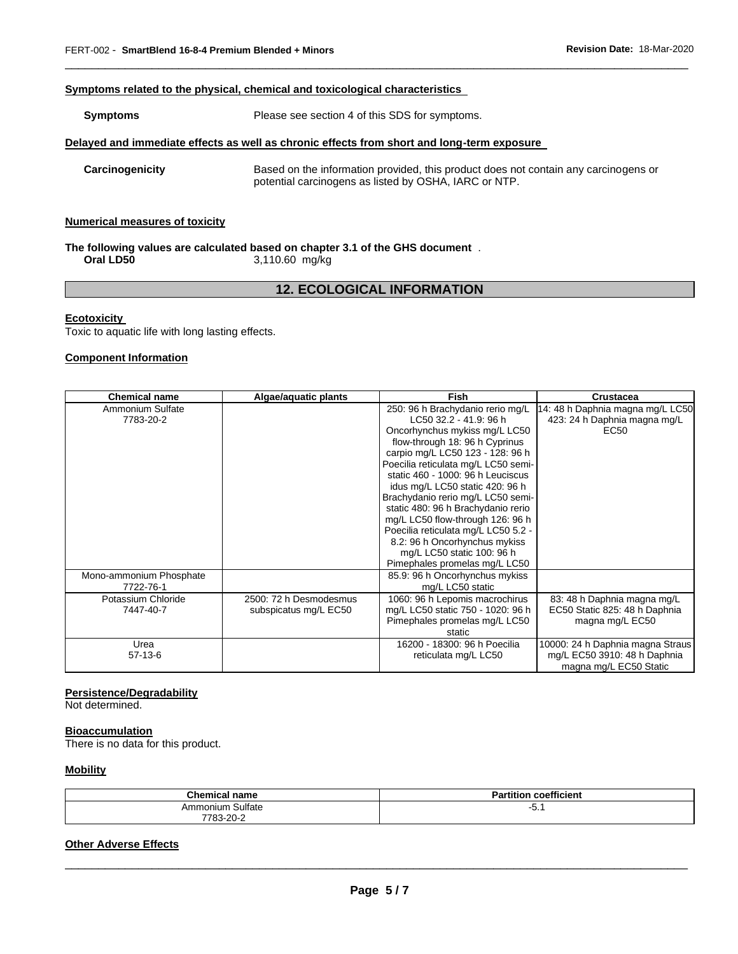#### **Symptoms related to the physical, chemical and toxicological characteristics**

| <b>Symptoms</b> | Please see section 4 of this SDS for symptoms. |
|-----------------|------------------------------------------------|
|                 |                                                |

#### **Delayed and immediate effects as well as chronic effects from short and long-term exposure**

**Carcinogenicity** Based on the information provided, this product does not contain any carcinogens or potential carcinogens as listed by OSHA, IARC or NTP.

\_\_\_\_\_\_\_\_\_\_\_\_\_\_\_\_\_\_\_\_\_\_\_\_\_\_\_\_\_\_\_\_\_\_\_\_\_\_\_\_\_\_\_\_\_\_\_\_\_\_\_\_\_\_\_\_\_\_\_\_\_\_\_\_\_\_\_\_\_\_\_\_\_\_\_\_\_\_\_\_\_\_\_\_\_\_\_\_\_\_\_\_\_

#### **Numerical measures of toxicity**

#### **The following values are calculated based on chapter 3.1 of the GHS document** . **Oral LD50** 3,110.60 mg/kg

## **12. ECOLOGICAL INFORMATION**

#### **Ecotoxicity**

Toxic to aquatic life with long lasting effects.

#### **Component Information**

| <b>Chemical name</b>    | Algae/aquatic plants   | <b>Fish</b>                         | Crustacea                        |
|-------------------------|------------------------|-------------------------------------|----------------------------------|
| Ammonium Sulfate        |                        | 250: 96 h Brachydanio rerio mg/L    | 14: 48 h Daphnia magna mg/L LC50 |
| 7783-20-2               |                        | LC50 32.2 - 41.9: 96 h              | 423: 24 h Daphnia magna mg/L     |
|                         |                        | Oncorhynchus mykiss mg/L LC50       | EC50                             |
|                         |                        | flow-through 18: 96 h Cyprinus      |                                  |
|                         |                        | carpio mg/L LC50 123 - 128: 96 h    |                                  |
|                         |                        | Poecilia reticulata mg/L LC50 semi- |                                  |
|                         |                        | static 460 - 1000: 96 h Leuciscus   |                                  |
|                         |                        | idus mg/L LC50 static 420: 96 h     |                                  |
|                         |                        | Brachydanio rerio mg/L LC50 semi-   |                                  |
|                         |                        | static 480: 96 h Brachydanio rerio  |                                  |
|                         |                        | mg/L LC50 flow-through 126: 96 h    |                                  |
|                         |                        | Poecilia reticulata mg/L LC50 5.2 - |                                  |
|                         |                        | 8.2: 96 h Oncorhynchus mykiss       |                                  |
|                         |                        | mg/L LC50 static 100: 96 h          |                                  |
|                         |                        | Pimephales promelas mg/L LC50       |                                  |
| Mono-ammonium Phosphate |                        | 85.9: 96 h Oncorhynchus mykiss      |                                  |
| 7722-76-1               |                        | mg/L LC50 static                    |                                  |
| Potassium Chloride      | 2500: 72 h Desmodesmus | 1060: 96 h Lepomis macrochirus      | 83: 48 h Daphnia magna mg/L      |
| 7447-40-7               | subspicatus mg/L EC50  | mg/L LC50 static 750 - 1020: 96 h   | EC50 Static 825: 48 h Daphnia    |
|                         |                        | Pimephales promelas mg/L LC50       | magna mg/L EC50                  |
|                         |                        | static                              |                                  |
| Urea                    |                        | 16200 - 18300: 96 h Poecilia        | 10000: 24 h Daphnia magna Straus |
| $57-13-6$               |                        | reticulata mg/L LC50                | mg/L EC50 3910: 48 h Daphnia     |
|                         |                        |                                     | magna mg/L EC50 Static           |

#### **Persistence/Degradability**

Not determined.

#### **Bioaccumulation**

There is no data for this product.

#### **Mobility**

| <b>Chemical name</b> | coefficient<br>Partition |
|----------------------|--------------------------|
| Ammonium Sulfate     | - J. .                   |
| 7783-20-<br>$\sim$   |                          |

## **Other Adverse Effects**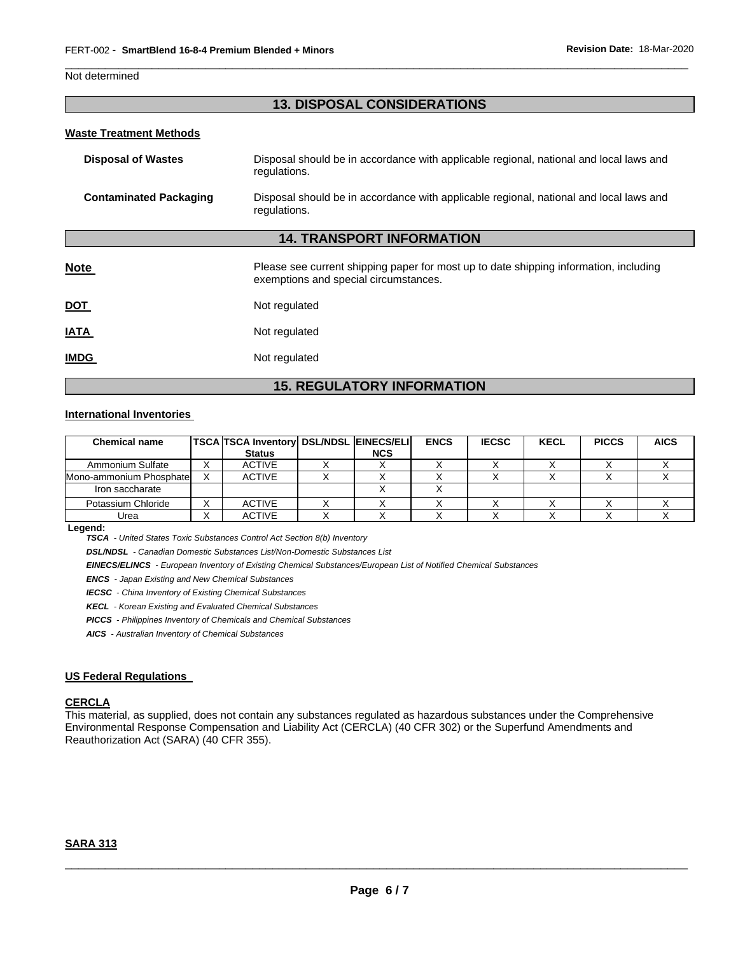#### Not determined

## **13. DISPOSAL CONSIDERATIONS**

\_\_\_\_\_\_\_\_\_\_\_\_\_\_\_\_\_\_\_\_\_\_\_\_\_\_\_\_\_\_\_\_\_\_\_\_\_\_\_\_\_\_\_\_\_\_\_\_\_\_\_\_\_\_\_\_\_\_\_\_\_\_\_\_\_\_\_\_\_\_\_\_\_\_\_\_\_\_\_\_\_\_\_\_\_\_\_\_\_\_\_\_\_

#### **Waste Treatment Methods**

| <b>Disposal of Wastes</b>        | Disposal should be in accordance with applicable regional, national and local laws and<br>regulations.                         |  |  |  |  |
|----------------------------------|--------------------------------------------------------------------------------------------------------------------------------|--|--|--|--|
| <b>Contaminated Packaging</b>    | Disposal should be in accordance with applicable regional, national and local laws and<br>regulations.                         |  |  |  |  |
| <b>14. TRANSPORT INFORMATION</b> |                                                                                                                                |  |  |  |  |
| <b>Note</b>                      | Please see current shipping paper for most up to date shipping information, including<br>exemptions and special circumstances. |  |  |  |  |
| <b>DOT</b>                       | Not regulated                                                                                                                  |  |  |  |  |
| <b>IATA</b>                      | Not regulated                                                                                                                  |  |  |  |  |
| <b>IMDG</b>                      | Not regulated                                                                                                                  |  |  |  |  |

## **15. REGULATORY INFORMATION**

#### **International Inventories**

| <b>Chemical name</b>    |   | <b>TSCA TSCA Inventory DSL/NDSL EINECS/ELI</b> |            | <b>ENCS</b> | <b>IECSC</b> | <b>KECL</b> | <b>PICCS</b> | <b>AICS</b> |
|-------------------------|---|------------------------------------------------|------------|-------------|--------------|-------------|--------------|-------------|
|                         |   | <b>Status</b>                                  | <b>NCS</b> |             |              |             |              |             |
| Ammonium Sulfate        |   | <b>ACTIVE</b>                                  |            |             |              |             |              |             |
| Mono-ammonium Phosphate |   | <b>ACTIVE</b>                                  |            |             |              |             |              |             |
| Iron saccharate         |   |                                                |            |             |              |             |              |             |
| Potassium Chloride      | ⌒ | <b>ACTIVE</b>                                  |            |             |              |             |              |             |
| Urea                    |   | <b>ACTIVE</b>                                  |            |             |              |             |              |             |

**Legend:** 

*TSCA - United States Toxic Substances Control Act Section 8(b) Inventory* 

*DSL/NDSL - Canadian Domestic Substances List/Non-Domestic Substances List* 

*EINECS/ELINCS - European Inventory of Existing Chemical Substances/European List of Notified Chemical Substances* 

*ENCS - Japan Existing and New Chemical Substances* 

*IECSC - China Inventory of Existing Chemical Substances* 

*KECL - Korean Existing and Evaluated Chemical Substances* 

*PICCS - Philippines Inventory of Chemicals and Chemical Substances* 

*AICS - Australian Inventory of Chemical Substances* 

#### **US Federal Regulations**

#### **CERCLA**

This material, as supplied, does not contain any substances regulated as hazardous substances under the Comprehensive Environmental Response Compensation and Liability Act (CERCLA) (40 CFR 302) or the Superfund Amendments and Reauthorization Act (SARA) (40 CFR 355).

## **SARA 313**